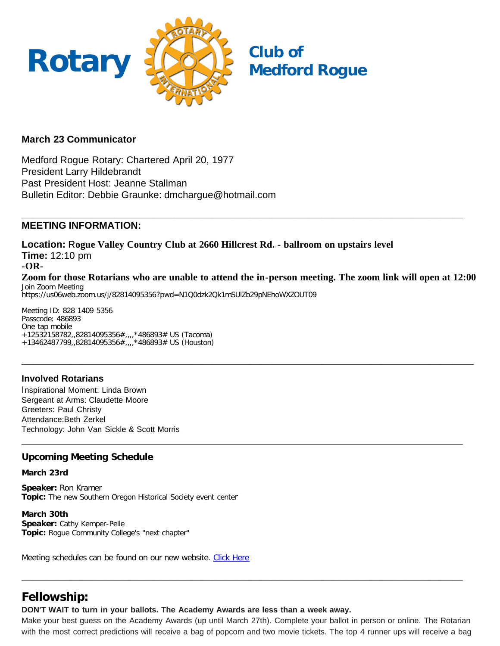

## **March 23 Communicator**

Medford Rogue Rotary: Chartered April 20, 1977 President Larry Hildebrandt Past President Host: Jeanne Stallman Bulletin Editor: Debbie Graunke: dmchargue@hotmail.com

#### **\_\_\_\_\_\_\_\_\_\_\_\_\_\_\_\_\_\_\_\_\_\_\_\_\_\_\_\_\_\_\_\_\_\_\_\_\_\_\_\_\_\_\_\_\_\_\_\_\_\_\_\_\_\_\_\_\_\_\_\_\_\_\_\_\_\_\_\_\_\_\_\_\_\_\_\_\_\_\_\_\_ MEETING INFORMATION:**

**Location:** R**ogue Valley Country Club at 2660 Hillcrest Rd. - ballroom on upstairs level Time:** 12:10 pm **-OR-Zoom for those Rotarians who are unable to attend the in-person meeting. The zoom link will open at 12:00** Join Zoom Meeting https://us06web.zoom.us/j/82814095356?pwd=N1Q0dzk2Qk1mSUlZb29pNEhoWXZOUT09

**\_\_\_\_\_\_\_\_\_\_\_\_\_\_\_\_\_\_\_\_\_\_\_\_\_\_\_\_\_\_\_\_\_\_\_\_\_\_\_\_\_\_\_\_\_\_\_\_\_\_\_\_\_\_\_\_\_\_\_\_\_\_\_\_\_\_\_\_\_\_\_\_\_\_\_\_\_\_\_\_\_\_\_**

**\_\_\_\_\_\_\_\_\_\_\_\_\_\_\_\_\_\_\_\_\_\_\_\_\_\_\_\_\_\_\_\_\_\_\_\_\_\_\_\_\_\_\_\_\_\_\_\_\_\_\_\_\_\_\_\_\_\_\_\_\_\_\_\_\_\_\_\_\_\_\_\_\_\_\_\_\_\_\_\_\_**

Meeting ID: 828 1409 5356 Passcode: 486893 One tap mobile +12532158782,,82814095356#,,,,\*486893# US (Tacoma) +13462487799,,82814095356#,,,,\*486893# US (Houston)

## **Involved Rotarians**

Inspirational Moment: Linda Brown Sergeant at Arms: Claudette Moore Greeters: Paul Christy Attendance:Beth Zerkel Technology: John Van Sickle & Scott Morris

### **Upcoming Meeting Schedule**

#### **March 23rd**

**Speaker:** Ron Kramer **Topic:** The new Southern Oregon Historical Society event center

**March 30th Speaker:** Cathy Kemper-Pelle **Topic:** Rogue Community College's "next chapter"

Meeting schedules can be found on our new website. [Click Here](https://medfordrogue.org/)

## **Fellowship:**

**DON'T WAIT to turn in your ballots. The Academy Awards are less than a week away.**

Make your best guess on the Academy Awards (up until March 27th). Complete your ballot in person or online. The Rotarian with the most correct predictions will receive a bag of popcorn and two movie tickets. The top 4 runner ups will receive a bag

**\_\_\_\_\_\_\_\_\_\_\_\_\_\_\_\_\_\_\_\_\_\_\_\_\_\_\_\_\_\_\_\_\_\_\_\_\_\_\_\_\_\_\_\_\_\_\_\_\_\_\_\_\_\_\_\_\_\_\_\_\_\_\_\_\_\_\_\_\_\_\_\_\_\_\_\_\_\_\_\_\_**